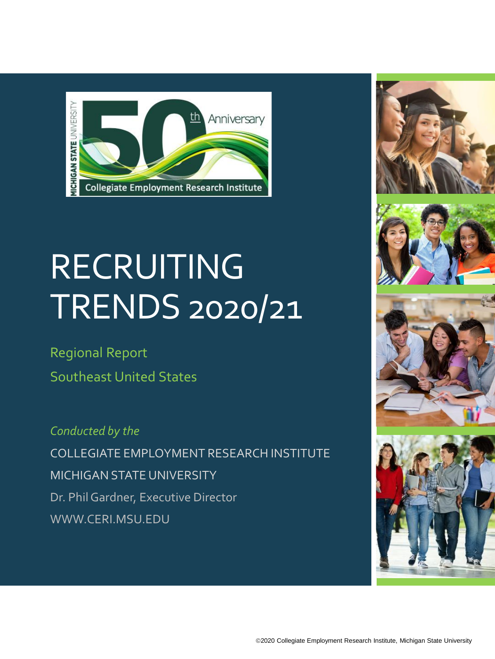

# **RECRUITING** TRENDS 2020/21

Regional Report Southeast United States

*Conducted by the* COLLEGIATE EMPLOYMENT RESEARCH INSTITUTE MICHIGAN STATE UNIVERSITY Dr. Phil Gardner, Executive Director WWW.CERI.MSU.EDU







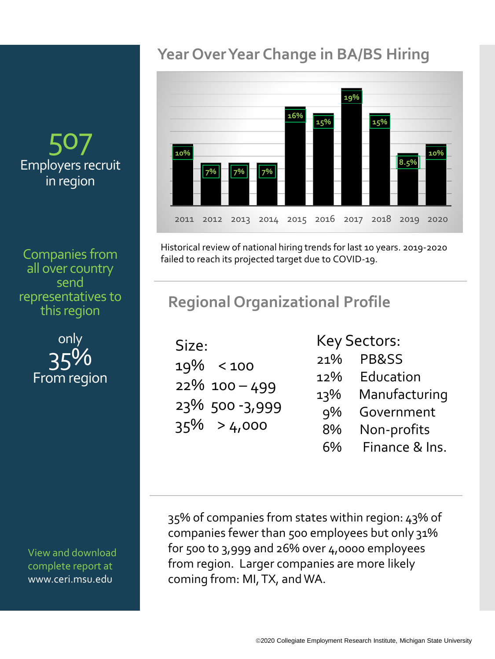## 50 Employers recruit in region

Companies from all over country send representatives to this region



View and download complete report at www.ceri.msu.edu

### **Year Over Year Change in BA/BS Hiring**



Historical review of national hiring trends for last 10 years. 2019-2020 failed to reach its projected target due to COVID-19.

## **Regional Organizational Profile**

| Size: |                |
|-------|----------------|
|       | 19% < 100      |
|       | 22% 100-499    |
|       | 23% 500-3,999  |
|       | $35\% > 4,000$ |
|       |                |

Key Sectors:

- 21% PB&SS
- 12% Education
- 13% Manufacturing
	- 9% Government
	- 8% Non-profits
	- 6% Finance & Ins.

35% of companies from states within region: 43% of companies fewer than 500 employees but only 31% for 500 to 3,999 and 26% over 4,0000 employees from region. Larger companies are more likely coming from: MI, TX, and WA.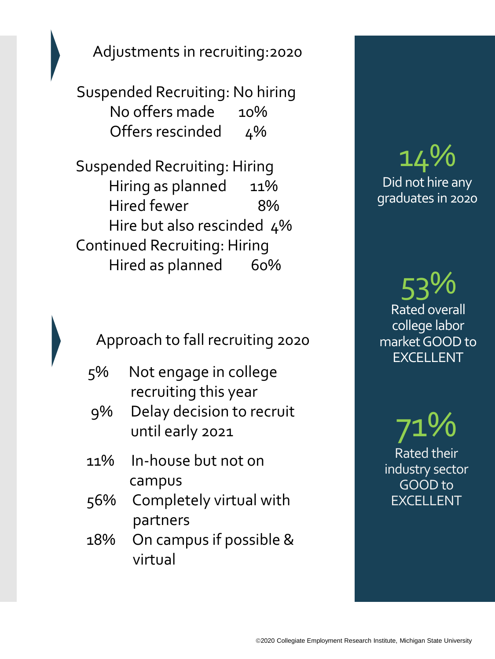Adjustments in recruiting:2020

Suspended Recruiting: No hiring No offers made 10% Offers rescinded 4%

Suspended Recruiting: Hiring Hiring as planned 11% Hired fewer 8% Hire but also rescinded 4% Continued Recruiting: Hiring Hired as planned 60%

Approach to fall recruiting 2020

- 5% Not engage in college recruiting this year
- 9% Delay decision to recruit until early 2021
- 11% In-house but not on campus
- 56% Completely virtual with partners
- 18% On campus if possible & virtual

# 14% Did not hire any graduates in 2020

53% Rated overall college labor market GOOD to EXCELLENT

71% Rated their industry sector GOOD to EXCELLENT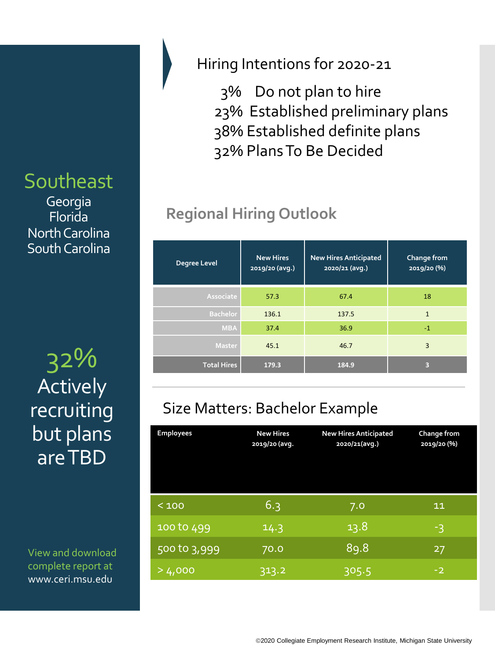## Southeast

Georgia Florida North Carolina South Carolina

32% **Total Hires 179.3 184.9 <sup>3</sup>** Actively recruiting but plans are TBD

View and download complete report at www.ceri.msu.edu

#### Hiring Intentions for 2020-21

3% Do not plan to hire 23% Established preliminary plans 38% Established definite plans 32% Plans To Be Decided

# **Regional Hiring Outlook**

| <b>Degree Level</b> | <b>New Hires</b><br>2019/20 (avg.) | <b>New Hires Anticipated</b><br>$2020/21$ (avg.) | Change from<br>2019/20 (%) |
|---------------------|------------------------------------|--------------------------------------------------|----------------------------|
| Associate           | 57.3                               | 67.4                                             | 18                         |
| <b>Bachelor</b>     | 136.1                              | 137.5                                            | $\mathbf{1}$               |
| <b>MBA</b>          | 37.4                               | 36.9                                             | $-1$                       |
| <b>Master</b>       | 45.1                               | 46.7                                             | 3                          |
| <b>Total Hires</b>  | 179.3                              | 184.9                                            | з                          |

## Size Matters: Bachelor Example

| <b>Employees</b> | <b>New Hires</b><br>2019/20 (avg. | <b>New Hires Anticipated</b><br>2020/21(avg.) | <b>Change from</b><br>2019/20 (%) |
|------------------|-----------------------------------|-----------------------------------------------|-----------------------------------|
| < 100            | 6.3                               | 7.0                                           | 11                                |
| 100 to 499       | 14.3                              | 13.8                                          | -3                                |
| 500 to 3,999     | 70.0                              | 89.8                                          | 27                                |
| >4,000           | 313.2                             | 305.5                                         | $-2$                              |